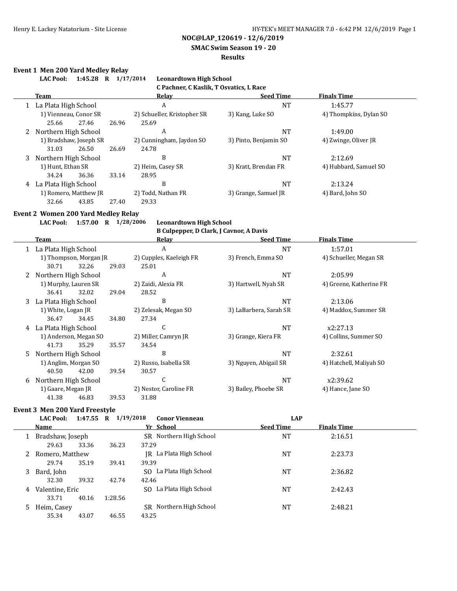**SMAC Swim Season 19 - 20**

#### **Results**

#### **Event 1 Men 200 Yard Medley Relay**

|   | <b>LAC Pool:</b>       | 1:45.28                | R     | 1/17/2014<br><b>Leonardtown High School</b> |                       |                        |
|---|------------------------|------------------------|-------|---------------------------------------------|-----------------------|------------------------|
|   |                        |                        |       | C Pachner, C Kaslik, T Osvatics, L Race     |                       |                        |
|   | Team                   |                        |       | Relay                                       | <b>Seed Time</b>      | <b>Finals Time</b>     |
|   | 1 La Plata High School |                        |       | A                                           | NT                    | 1:45.77                |
|   | 1) Vienneau, Conor SR  |                        |       | 2) Schueller, Kristopher SR                 | 3) Kang, Luke SO      | 4) Thompkins, Dylan SO |
|   | 25.66                  | 27.46                  | 26.96 | 25.69                                       |                       |                        |
|   | Northern High School   |                        |       | A                                           | NT                    | 1:49.00                |
|   |                        | 1) Bradshaw, Joseph SR |       | 2) Cunningham, Jaydon SO                    | 3) Pinto, Benjamin SO | 4) Zwinge, Oliver JR   |
|   | 31.03                  | 26.50                  | 26.69 | 24.78                                       |                       |                        |
|   | 3 Northern High School |                        |       | B                                           | NT                    | 2:12.69                |
|   | 1) Hunt, Ethan SR      |                        |       | 2) Heim, Casey SR                           | 3) Kratt, Brendan FR  | 4) Hubbard, Samuel SO  |
|   | 34.24                  | 36.36                  | 33.14 | 28.95                                       |                       |                        |
| 4 | La Plata High School   |                        |       | B                                           | <b>NT</b>             | 2:13.24                |
|   |                        | 1) Romero, Matthew JR  |       | 2) Todd, Nathan FR                          | 3) Grange, Samuel JR  | 4) Bard, John SO       |
|   | 32.66                  | 43.85                  | 27.40 | 29.33                                       |                       |                        |

## **Event 2 Women 200 Yard Medley Relay**

**LAC Pool: 1:57.00 R 1/28/2006 Leonardtown High School**

# **B Culpepper, D Clark, J Cavnor, A Davis**

|    |                        |                       |       | D carpepper, D clarity, J cavilor, A Davis     |                       |                         |
|----|------------------------|-----------------------|-------|------------------------------------------------|-----------------------|-------------------------|
|    | Team                   |                       |       | Relav                                          | <b>Seed Time</b>      | <b>Finals Time</b>      |
|    | 1 La Plata High School |                       |       | A                                              | <b>NT</b>             | 1:57.01                 |
|    | 1) Thompson, Morgan JR |                       |       | 2) Cupples, Kaeleigh FR<br>3) French, Emma SO  |                       | 4) Schueller, Megan SR  |
|    | 30.71                  | 32.26                 | 29.03 | 25.01                                          |                       |                         |
| 2  | Northern High School   |                       |       | A                                              | <b>NT</b>             | 2:05.99                 |
|    | 1) Murphy, Lauren SR   |                       |       | 2) Zaidi, Alexia FR                            | 3) Hartwell, Nyah SR  | 4) Greene, Katherine FR |
|    | 36.41                  | 32.02                 | 29.04 | 28.52                                          |                       |                         |
| 3  | La Plata High School   |                       |       | B                                              | <b>NT</b>             | 2:13.06                 |
|    | 1) White, Logan JR     |                       |       | 2) Zelesak, Megan SO<br>3) LaBarbera, Sarah SR |                       | 4) Maddox, Summer SR    |
|    | 36.47                  | 34.45                 | 34.80 | 27.34                                          |                       |                         |
| 4  | La Plata High School   |                       |       | U                                              | <b>NT</b>             | x2:27.13                |
|    |                        | 1) Anderson, Megan SO |       | 2) Miller, Camryn JR                           | 3) Grange, Kiera FR   | 4) Collins, Summer SO   |
|    | 41.73                  | 35.29                 | 35.57 | 34.54                                          |                       |                         |
| 5. | Northern High School   |                       |       | B                                              | <b>NT</b>             | 2:32.61                 |
|    | 1) Anglim, Morgan SO   |                       |       | 2) Russo, Isabella SR                          | 3) Nguyen, Abigail SR | 4) Hatchell, Maliyah SO |
|    | 40.50                  | 42.00                 | 39.54 | 30.57                                          |                       |                         |
| 6  | Northern High School   |                       |       | U                                              | <b>NT</b>             | x2:39.62                |
|    | 1) Gaare, Megan JR     |                       |       | 2) Nestor, Caroline FR                         | 3) Bailey, Phoebe SR  | 4) Hance, Jane SO       |
|    | 41.38                  | 46.83                 | 39.53 | 31.88                                          |                       |                         |

#### **Event 3 Men 200 Yard Freestyle**

|   | <b>LAC Pool:</b>          | 1:47.55 R | 1/19/2018 | <b>Conor Vienneau</b>            | LAP              |                    |
|---|---------------------------|-----------|-----------|----------------------------------|------------------|--------------------|
|   | <b>Name</b>               |           |           | Yr School                        | <b>Seed Time</b> | <b>Finals Time</b> |
|   | Bradshaw, Joseph<br>29.63 | 33.36     | 36.23     | SR Northern High School<br>37.29 | NT               | 2:16.51            |
|   | Romero, Matthew<br>29.74  | 35.19     | 39.41     | IR La Plata High School<br>39.39 | NT               | 2:23.73            |
| 3 | Bard, John<br>32.30       | 39.32     | 42.74     | SO La Plata High School<br>42.46 | NT               | 2:36.82            |
| 4 | Valentine, Eric<br>33.71  | 40.16     | 1:28.56   | SO La Plata High School          | NT               | 2:42.43            |
| 5 | Heim, Casey<br>35.34      | 43.07     | 46.55     | SR Northern High School<br>43.25 | NT               | 2:48.21            |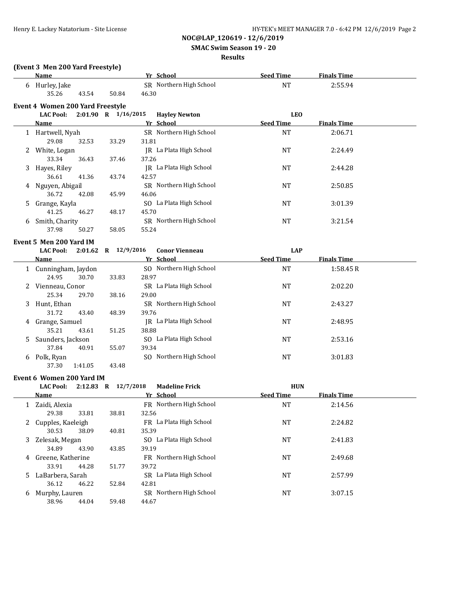## **SMAC Swim Season 19 - 20**

#### **Results**

|    | (Event 3 Men 200 Yard Freestyle)<br><b>Name</b> |         |                         | Yr School               | <b>Seed Time</b> | <b>Finals Time</b> |  |
|----|-------------------------------------------------|---------|-------------------------|-------------------------|------------------|--------------------|--|
|    | 6 Hurley, Jake                                  |         |                         | SR Northern High School | <b>NT</b>        | 2:55.94            |  |
|    | 35.26                                           | 43.54   | 50.84                   | 46.30                   |                  |                    |  |
|    | Event 4 Women 200 Yard Freestyle                |         |                         |                         |                  |                    |  |
|    | <b>LAC Pool:</b>                                |         | 2:01.90 R 1/16/2015     | <b>Hayley Newton</b>    | <b>LEO</b>       |                    |  |
|    | Name                                            |         |                         | Yr School               | <b>Seed Time</b> | <b>Finals Time</b> |  |
|    | 1 Hartwell, Nyah                                |         |                         | SR Northern High School | <b>NT</b>        | 2:06.71            |  |
|    | 29.08                                           | 32.53   | 33.29                   | 31.81                   |                  |                    |  |
|    | 2 White, Logan                                  |         |                         | JR La Plata High School | <b>NT</b>        | 2:24.49            |  |
|    | 33.34                                           | 36.43   | 37.46                   | 37.26                   |                  |                    |  |
|    | 3 Hayes, Riley                                  |         |                         | JR La Plata High School | <b>NT</b>        | 2:44.28            |  |
|    | 36.61                                           | 41.36   | 43.74                   | 42.57                   |                  |                    |  |
|    |                                                 |         |                         | SR Northern High School | <b>NT</b>        |                    |  |
|    | 4 Nguyen, Abigail<br>36.72                      | 42.08   | 45.99                   | 46.06                   |                  | 2:50.85            |  |
|    |                                                 |         |                         | SO La Plata High School |                  |                    |  |
|    | Grange, Kayla<br>41.25                          | 46.27   | 48.17                   | 45.70                   | <b>NT</b>        | 3:01.39            |  |
|    |                                                 |         |                         | SR Northern High School |                  |                    |  |
|    | 6 Smith, Charity<br>37.98                       |         |                         | 55.24                   | <b>NT</b>        | 3:21.54            |  |
|    |                                                 | 50.27   | 58.05                   |                         |                  |                    |  |
|    | Event 5 Men 200 Yard IM                         |         |                         |                         |                  |                    |  |
|    | <b>LAC Pool:</b>                                |         | $2:01.62$ R $12/9/2016$ | <b>Conor Vienneau</b>   | <b>LAP</b>       |                    |  |
|    | Name                                            |         |                         | Yr School               | <b>Seed Time</b> | <b>Finals Time</b> |  |
|    | 1 Cunningham, Jaydon                            |         |                         | SO Northern High School | <b>NT</b>        | 1:58.45R           |  |
|    | 24.95                                           | 30.70   | 33.83                   | 28.97                   |                  |                    |  |
|    | 2 Vienneau, Conor                               |         |                         | SR La Plata High School | <b>NT</b>        | 2:02.20            |  |
|    | 25.34                                           | 29.70   | 38.16                   | 29.00                   |                  |                    |  |
| 3  | Hunt, Ethan                                     |         |                         | SR Northern High School | <b>NT</b>        | 2:43.27            |  |
|    | 31.72                                           | 43.40   | 48.39                   | 39.76                   |                  |                    |  |
|    | 4 Grange, Samuel                                |         |                         | JR La Plata High School | NT               | 2:48.95            |  |
|    | 35.21                                           | 43.61   | 51.25                   | 38.88                   |                  |                    |  |
| 5. | Saunders, Jackson                               |         |                         | SO La Plata High School | NT               | 2:53.16            |  |
|    | 37.84                                           | 40.91   | 55.07                   | 39.34                   |                  |                    |  |
|    | 6 Polk, Ryan                                    |         |                         | SO Northern High School | NT               | 3:01.83            |  |
|    | 37.30                                           | 1:41.05 | 43.48                   |                         |                  |                    |  |
|    | Event 6 Women 200 Yard IM                       |         |                         |                         |                  |                    |  |
|    | <b>LAC Pool:</b>                                |         | 2:12.83 R $12/7/2018$   | <b>Madeline Frick</b>   | <b>HUN</b>       |                    |  |
|    | Name                                            |         |                         | Yr School               | <b>Seed Time</b> | <b>Finals Time</b> |  |
|    | 1 Zaidi, Alexia                                 |         |                         | FR Northern High School | <b>NT</b>        | 2:14.56            |  |
|    | 29.38                                           | 33.81   | 38.81                   | 32.56                   |                  |                    |  |
|    | 2 Cupples, Kaeleigh                             |         |                         | FR La Plata High School | <b>NT</b>        | 2:24.82            |  |
|    | 30.53                                           | 38.09   | 40.81                   | 35.39                   |                  |                    |  |
| 3  | Zelesak, Megan                                  |         |                         | SO La Plata High School | NT               | 2:41.83            |  |
|    | 34.89                                           | 43.90   | 43.85                   | 39.19                   |                  |                    |  |
|    | 4 Greene, Katherine                             |         |                         | FR Northern High School | NT               | 2:49.68            |  |
|    | 33.91                                           | 44.28   | 51.77                   | 39.72                   |                  |                    |  |
| 5. | LaBarbera, Sarah                                |         |                         | SR La Plata High School | <b>NT</b>        | 2:57.99            |  |
|    | 36.12                                           | 46.22   | 52.84                   | 42.81                   |                  |                    |  |
|    | 6 Murphy, Lauren                                |         |                         | SR Northern High School | NT               | 3:07.15            |  |
|    | 38.96                                           | 44.04   | 59.48                   | 44.67                   |                  |                    |  |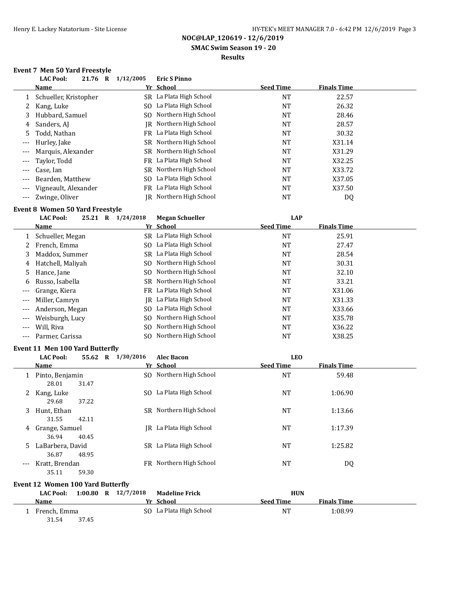**SMAC Swim Season 19 - 20**

### **Results**

### **Event 7 Men 50 Yard Freestyle**

|                     | <b>LAC Pool:</b><br>21.76 R | 1/12/2005 | <b>Eric S Pinno</b>     |                  |                    |  |
|---------------------|-----------------------------|-----------|-------------------------|------------------|--------------------|--|
|                     | <b>Name</b>                 |           | Yr School               | <b>Seed Time</b> | <b>Finals Time</b> |  |
|                     | Schueller, Kristopher       |           | SR La Plata High School | NT               | 22.57              |  |
|                     | Kang, Luke                  |           | SO La Plata High School | NT               | 26.32              |  |
| 3                   | Hubbard, Samuel             |           | SO Northern High School | NT               | 28.46              |  |
| 4                   | Sanders, AJ                 |           | IR Northern High School | NT               | 28.57              |  |
| 5.                  | Todd, Nathan                |           | FR La Plata High School | NT               | 30.32              |  |
| $---$               | Hurley, Jake                |           | SR Northern High School | NT               | X31.14             |  |
|                     | Marquis, Alexander          |           | SR Northern High School | NT               | X31.29             |  |
| $\qquad \qquad - -$ | Taylor, Todd                |           | FR La Plata High School | NT               | X32.25             |  |
| $---$               | Case, Ian                   |           | SR Northern High School | NT               | X33.72             |  |
|                     | Bearden, Matthew            |           | SO La Plata High School | NT               | X37.05             |  |
| $---$               | Vigneault, Alexander        |           | FR La Plata High School | NT               | X37.50             |  |
| $---$               | Zwinge, Oliver              |           | IR Northern High School | NT               | DQ                 |  |

# **Event 8 Women 50 Yard Freestyle**<br>**Example 1/24/2018** Me

|       | <b>LAC Pool:</b><br>25.21 R | 1/24/2018 | <b>Megan Schueller</b>  | <b>LAP</b>       |                    |  |
|-------|-----------------------------|-----------|-------------------------|------------------|--------------------|--|
|       | Name                        |           | Yr School               | <b>Seed Time</b> | <b>Finals Time</b> |  |
|       | Schueller, Megan            |           | SR La Plata High School | NT               | 25.91              |  |
|       | French, Emma                |           | SO La Plata High School | NT               | 27.47              |  |
| 3     | Maddox, Summer              |           | SR La Plata High School | <b>NT</b>        | 28.54              |  |
| 4     | Hatchell, Maliyah           | SO.       | Northern High School    | NT               | 30.31              |  |
| 5.    | Hance, Jane                 | SO.       | Northern High School    | NT               | 32.10              |  |
| 6     | Russo, Isabella             |           | SR Northern High School | NT               | 33.21              |  |
| $---$ | Grange, Kiera               |           | FR La Plata High School | NT               | X31.06             |  |
| $---$ | Miller, Camryn              | IR        | La Plata High School    | <b>NT</b>        | X31.33             |  |
| $---$ | Anderson, Megan             | SO.       | La Plata High School    | NT               | X33.66             |  |
|       | Weisburgh, Lucy             | SO.       | Northern High School    | NT               | X35.78             |  |
| $---$ | Will, Riva                  | SO.       | Northern High School    | NT               | X36.22             |  |
|       | Parmer, Carissa             | SO.       | Northern High School    | NT               | X38.25             |  |

#### **Event 11 Men 100 Yard Butterfly**

31.54 37.45

|       | <b>LAC Pool:</b>                         | 55.62 R | 1/30/2016           | <b>Alec Bacon</b>       | <b>LEO</b>       |                    |  |
|-------|------------------------------------------|---------|---------------------|-------------------------|------------------|--------------------|--|
|       | Name                                     |         |                     | Yr School               | <b>Seed Time</b> | <b>Finals Time</b> |  |
| 1     | Pinto, Benjamin<br>28.01                 | 31.47   |                     | SO Northern High School | <b>NT</b>        | 59.48              |  |
| 2     | Kang, Luke<br>29.68                      | 37.22   |                     | SO La Plata High School | <b>NT</b>        | 1:06.90            |  |
| 3     | Hunt, Ethan<br>31.55                     | 42.11   |                     | SR Northern High School | <b>NT</b>        | 1:13.66            |  |
| 4     | Grange, Samuel<br>36.94                  | 40.45   | IR                  | La Plata High School    | <b>NT</b>        | 1:17.39            |  |
| 5.    | LaBarbera, David<br>36.87                | 48.95   |                     | SR La Plata High School | <b>NT</b>        | 1:25.82            |  |
| $---$ | Kratt, Brendan<br>35.11                  | 59.30   |                     | FR Northern High School | <b>NT</b>        | DQ                 |  |
|       | <b>Event 12 Women 100 Yard Butterfly</b> |         |                     |                         |                  |                    |  |
|       | <b>LAC Pool:</b>                         |         | 1:00.80 R 12/7/2018 | <b>Madeline Frick</b>   | <b>HUN</b>       |                    |  |
|       | Name                                     |         |                     | Yr School               | <b>Seed Time</b> | <b>Finals Time</b> |  |

1 French, Emma SO La Plata High School NT 1:08.99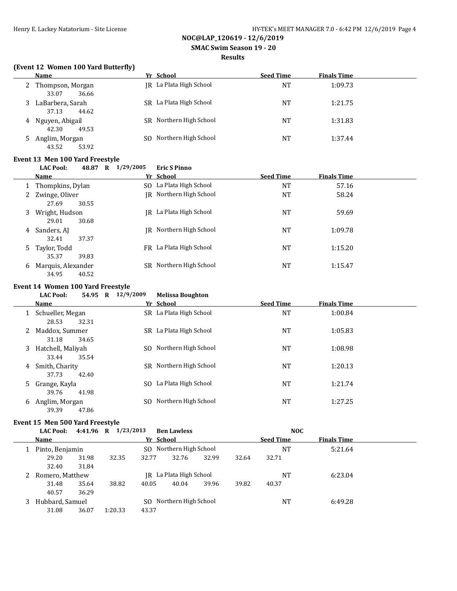**SMAC Swim Season 19 - 20**

#### **Results**

## **(Event 12 Women 100 Yard Butterfly)**

| Name                                   | Yr School               | <b>Seed Time</b> | <b>Finals Time</b> |  |
|----------------------------------------|-------------------------|------------------|--------------------|--|
| 2 Thompson, Morgan<br>36.66<br>33.07   | IR La Plata High School | NT               | 1:09.73            |  |
| LaBarbera, Sarah<br>37.13<br>44.62     | SR La Plata High School | NT               | 1:21.75            |  |
| Nguyen, Abigail<br>4<br>42.30<br>49.53 | SR Northern High School | NT               | 1:31.83            |  |
| 5 Anglim, Morgan<br>43.52<br>53.92     | SO Northern High School | NT               | 1:37.44            |  |

#### **Event 13 Men 100 Yard Freestyle**

**LAC Pool: 48.87 R 1/29/2005 Eric S Pinno**

|   | Name                                 | Yr School                   | <b>Seed Time</b> | <b>Finals Time</b> |  |
|---|--------------------------------------|-----------------------------|------------------|--------------------|--|
|   | Thompkins, Dylan                     | SO La Plata High School     | <b>NT</b>        | 57.16              |  |
| 2 | Zwinge, Oliver<br>30.55<br>27.69     | IR Northern High School     | NT               | 58.24              |  |
| 3 | Wright, Hudson<br>30.68<br>29.01     | IR La Plata High School     | <b>NT</b>        | 59.69              |  |
| 4 | Sanders, AJ<br>37.37<br>32.41        | IR Northern High School     | <b>NT</b>        | 1:09.78            |  |
| 5 | Taylor, Todd<br>35.37<br>39.83       | FR La Plata High School     | <b>NT</b>        | 1:15.20            |  |
| 6 | Marquis, Alexander<br>34.95<br>40.52 | Northern High School<br>SR. | NT               | 1:15.47            |  |

#### **Event 14 Women 100 Yard Freestyle**

|    | <b>LAC Pool:</b><br>Name                          | 54.95 R | 12/9/2009 | <b>Melissa Boughton</b><br>Yr School | <b>Seed Time</b> | <b>Finals Time</b> |  |
|----|---------------------------------------------------|---------|-----------|--------------------------------------|------------------|--------------------|--|
|    | Schueller, Megan<br>28.53<br>32.31                |         |           | SR La Plata High School              | <b>NT</b>        | 1:00.84            |  |
|    | Maddox, Summer<br>31.18<br>34.65                  |         | SR.       | La Plata High School                 | <b>NT</b>        | 1:05.83            |  |
| 3. | Hatchell, Maliyah<br>33.44<br>35.54               |         |           | SO Northern High School              | <b>NT</b>        | 1:08.98            |  |
| 4  | Smith, Charity                                    |         |           | SR Northern High School              | <b>NT</b>        | 1:20.13            |  |
| 5. | 42.40<br>37.73<br>Grange, Kayla<br>39.76<br>41.98 |         | SO.       | La Plata High School                 | <b>NT</b>        | 1:21.74            |  |
| 6  | Anglim, Morgan<br>39.39<br>47.86                  |         | SO.       | Northern High School                 | NT               | 1:27.25            |  |

#### **Event 15 Men 500 Yard Freestyle**

|   | <b>LAC Pool:</b> | 4:41.96 R | 1/23/2013 |       | <b>Ben Lawless</b>      |       |       | <b>NOC</b>       |                    |  |
|---|------------------|-----------|-----------|-------|-------------------------|-------|-------|------------------|--------------------|--|
|   | Name             |           |           |       | Yr School               |       |       | <b>Seed Time</b> | <b>Finals Time</b> |  |
|   | Pinto, Benjamin  |           |           |       | SO Northern High School |       |       | NT               | 5:21.64            |  |
|   | 29.20            | 31.98     | 32.35     | 32.77 | 32.76                   | 32.99 | 32.64 | 32.71            |                    |  |
|   | 32.40            | 31.84     |           |       |                         |       |       |                  |                    |  |
|   | Romero, Matthew  |           |           | IRI   | La Plata High School    |       |       | NT               | 6:23.04            |  |
|   | 31.48            | 35.64     | 38.82     | 40.05 | 40.04                   | 39.96 | 39.82 | 40.37            |                    |  |
|   | 40.57            | 36.29     |           |       |                         |       |       |                  |                    |  |
| 3 | Hubbard, Samuel  |           |           |       | SO Northern High School |       |       | NT               | 6:49.28            |  |
|   | 31.08            | 36.07     | 1:20.33   | 43.37 |                         |       |       |                  |                    |  |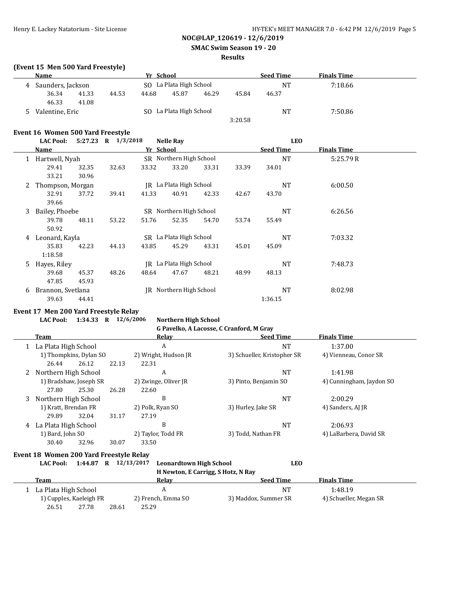#### **SMAC Swim Season 19 - 20**

## **Results**

#### **(Event 15 Men 500 Yard Freestyle)**

|   | Name              |       |                         | Yr School |                         |       |         | <b>Seed Time</b> | <b>Finals Time</b> |  |
|---|-------------------|-------|-------------------------|-----------|-------------------------|-------|---------|------------------|--------------------|--|
| 4 | Saunders, Jackson |       | SO La Plata High School |           |                         |       |         | <b>NT</b>        | 7:18.66            |  |
|   | 36.34             | 41.33 | 44.53                   | 44.68     | 45.87                   | 46.29 | 45.84   | 46.37            |                    |  |
|   | 46.33             | 41.08 |                         |           |                         |       |         |                  |                    |  |
| 5 | Valentine, Eric   |       |                         |           | SO La Plata High School |       |         | <b>NT</b>        | 7:50.86            |  |
|   |                   |       |                         |           |                         |       | 3:20.58 |                  |                    |  |

#### **Event 16 Women 500 Yard Freestyle**

|   | <b>LAC Pool:</b>  | $5:27.23$ R | 1/3/2018 |           | <b>Nelle Rav</b>        |       |       | <b>LEO</b>       |                    |  |
|---|-------------------|-------------|----------|-----------|-------------------------|-------|-------|------------------|--------------------|--|
|   | Name              |             |          | Yr School |                         |       |       | <b>Seed Time</b> | <b>Finals Time</b> |  |
| 1 | Hartwell, Nyah    |             |          |           | SR Northern High School |       |       | <b>NT</b>        | 5:25.79R           |  |
|   | 29.41             | 32.35       | 32.63    | 33.32     | 33.20                   | 33.31 | 33.39 | 34.01            |                    |  |
|   | 33.21             | 30.96       |          |           |                         |       |       |                  |                    |  |
| 2 | Thompson, Morgan  |             |          |           | IR La Plata High School |       |       | <b>NT</b>        | 6:00.50            |  |
|   | 32.91             | 37.72       | 39.41    | 41.33     | 40.91                   | 42.33 | 42.67 | 43.70            |                    |  |
|   | 39.66             |             |          |           |                         |       |       |                  |                    |  |
| 3 | Bailey, Phoebe    |             |          |           | SR Northern High School |       |       | <b>NT</b>        | 6:26.56            |  |
|   | 39.78             | 48.11       | 53.22    | 51.76     | 52.35                   | 54.70 | 53.74 | 55.49            |                    |  |
|   | 50.92             |             |          |           |                         |       |       |                  |                    |  |
| 4 | Leonard, Kayla    |             |          |           | SR La Plata High School |       |       | NT               | 7:03.32            |  |
|   | 35.83             | 42.23       | 44.13    | 43.85     | 45.29                   | 43.31 | 45.01 | 45.09            |                    |  |
|   | 1:18.58           |             |          |           |                         |       |       |                  |                    |  |
| 5 | Hayes, Riley      |             |          |           | IR La Plata High School |       |       | NT               | 7:48.73            |  |
|   | 39.68             | 45.37       | 48.26    | 48.64     | 47.67                   | 48.21 | 48.99 | 48.13            |                    |  |
|   | 47.85             | 45.93       |          |           |                         |       |       |                  |                    |  |
| 6 | Brannon, Svetlana |             |          |           | IR Northern High School |       |       | <b>NT</b>        | 8:02.98            |  |
|   | 39.63             | 44.41       |          |           |                         |       |       | 1:36.15          |                    |  |

## **Event 17 Men 200 Yard Freestyle Relay**

 $\overline{a}$ 

**LAC Pool: 1:34.33 R 12/6/2006 Northern High School**

# **G Pavelko, A Lacosse, C Cranford, M Gray**

|   | Team                                           |       |       | Relay                                         | <b>Seed Time</b>            | <b>Finals Time</b>       |  |
|---|------------------------------------------------|-------|-------|-----------------------------------------------|-----------------------------|--------------------------|--|
|   | La Plata High School<br>1) Thompkins, Dylan SO |       |       | A                                             | NT                          | 1:37.00                  |  |
|   |                                                |       |       | 2) Wright, Hudson JR                          | 3) Schueller, Kristopher SR | 4) Vienneau, Conor SR    |  |
|   | 26.44                                          | 26.12 | 22.13 | 22.31                                         |                             |                          |  |
|   | Northern High School                           |       |       | A                                             | NT                          | 1:41.98                  |  |
|   | 1) Bradshaw, Joseph SR                         |       |       | 2) Zwinge, Oliver JR<br>3) Pinto, Benjamin SO |                             | 4) Cunningham, Jaydon SO |  |
|   | 27.80                                          | 25.30 | 26.28 | 22.60                                         |                             |                          |  |
| 3 | Northern High School                           |       |       | B                                             | NT                          | 2:00.29                  |  |
|   | 1) Kratt, Brendan FR                           |       |       | 2) Polk, Ryan SO                              | 3) Hurley, Jake SR          | 4) Sanders, AJ JR        |  |
|   | 29.89                                          | 32.04 | 31.17 | 27.19                                         |                             |                          |  |
| 4 | La Plata High School                           |       |       | B                                             | NT                          | 2:06.93                  |  |
|   | 1) Bard, John SO                               |       |       | 2) Taylor, Todd FR                            | 3) Todd, Nathan FR          | 4) LaBarbera, David SR   |  |
|   | 30.40                                          | 32.96 | 30.07 | 33.50                                         |                             |                          |  |

## **Event 18 Women 200 Yard Freestyle Relay**

| <b>LAC Pool:</b> |  | $1:44.87$ R $12/13/2017$ Leonardtown High School | <b>LEO</b> |
|------------------|--|--------------------------------------------------|------------|
|                  |  | H Newton, E Carrigg, S Hotz, N Ray               |            |

| Team                    |       | Relav              | <b>Seed Time</b>     | <b>Finals Time</b>     |  |
|-------------------------|-------|--------------------|----------------------|------------------------|--|
| 1 La Plata High School  |       |                    | $N^{\tau}$           | 1:48.19                |  |
| 1) Cupples, Kaeleigh FR |       | 2) French, Emma SO | 3) Maddox, Summer SR | 4) Schueller, Megan SR |  |
| 26.51<br>27.78          | 28.61 | 25.29              |                      |                        |  |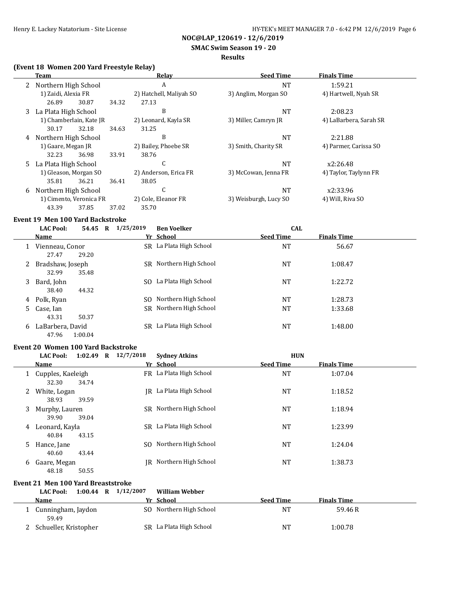**SMAC Swim Season 19 - 20**

#### **Results**

## **(Event 18 Women 200 Yard Freestyle Relay)**

|   | Team                    |       | <b>Relay</b>            | <b>Seed Time</b>      | <b>Finals Time</b>     |  |
|---|-------------------------|-------|-------------------------|-----------------------|------------------------|--|
|   | 2 Northern High School  |       | A                       | <b>NT</b>             | 1:59.21                |  |
|   | 1) Zaidi, Alexia FR     |       | 2) Hatchell, Maliyah SO | 3) Anglim, Morgan SO  | 4) Hartwell, Nyah SR   |  |
|   | 26.89<br>30.87          | 34.32 | 27.13                   |                       |                        |  |
|   | 3 La Plata High School  |       | B                       | <b>NT</b>             | 2:08.23                |  |
|   | 1) Chamberlain, Kate JR |       | 2) Leonard, Kayla SR    | 3) Miller, Camryn JR  | 4) LaBarbera, Sarah SR |  |
|   | 32.18<br>30.17          | 34.63 | 31.25                   |                       |                        |  |
| 4 | Northern High School    |       | B                       | NT                    | 2:21.88                |  |
|   | 1) Gaare, Megan JR      |       | 2) Bailey, Phoebe SR    | 3) Smith, Charity SR  | 4) Parmer, Carissa SO  |  |
|   | 32.23<br>36.98          | 33.91 | 38.76                   |                       |                        |  |
|   | 5 La Plata High School  |       | U                       | <b>NT</b>             | x2:26.48               |  |
|   | 1) Gleason, Morgan SO   |       | 2) Anderson, Erica FR   | 3) McCowan, Jenna FR  | 4) Taylor, Taylynn FR  |  |
|   | 36.21<br>35.81          | 36.41 | 38.05                   |                       |                        |  |
| 6 | Northern High School    |       | J                       | <b>NT</b>             | x2:33.96               |  |
|   | 1) Cimento, Veronica FR |       | 2) Cole, Eleanor FR     | 3) Weisburgh, Lucy SO | 4) Will, Riva SO       |  |
|   | 43.39<br>37.85          | 37.02 | 35.70                   |                       |                        |  |

# **Event 19 Men 100 Yard Backstroke**<br>**E4.45 R** 1/25

|   | <b>LAC Pool:</b>            | 54.45   | $\mathbf R$ | 1/25/2019 | <b>Ben Voelker</b>      | <b>CAL</b>       |                    |
|---|-----------------------------|---------|-------------|-----------|-------------------------|------------------|--------------------|
|   | Name                        |         |             |           | Yr School               | <b>Seed Time</b> | <b>Finals Time</b> |
|   | Vienneau, Conor<br>27.47    | 29.20   |             |           | SR La Plata High School | NT               | 56.67              |
|   | 2 Bradshaw, Joseph<br>32.99 | 35.48   |             |           | SR Northern High School | <b>NT</b>        | 1:08.47            |
| 3 | Bard, John<br>38.40         | 44.32   |             | SO.       | La Plata High School    | <b>NT</b>        | 1:22.72            |
| 4 | Polk, Ryan                  |         |             | SO.       | Northern High School    | NT               | 1:28.73            |
|   | 5 Case, Ian<br>43.31        | 50.37   |             |           | SR Northern High School | <b>NT</b>        | 1:33.68            |
| 6 | LaBarbera, David<br>47.96   | 1:00.04 |             | SR -      | La Plata High School    | NT               | 1:48.00            |

#### **Event 20 Women 100 Yard Backstroke**

|    | <b>LAC Pool:</b>                      | $1:02.49$ R $12/7/2018$ | <b>Sydney Atkins</b>    | <b>HUN</b>       |                    |  |
|----|---------------------------------------|-------------------------|-------------------------|------------------|--------------------|--|
|    | Name                                  |                         | Yr School               | <b>Seed Time</b> | <b>Finals Time</b> |  |
|    | 1 Cupples, Kaeleigh<br>32.30<br>34.74 |                         | FR La Plata High School | NT               | 1:07.04            |  |
| 2  | White, Logan<br>38.93<br>39.59        |                         | IR La Plata High School | NT               | 1:18.52            |  |
|    | 3 Murphy, Lauren<br>39.04<br>39.90    | SR.                     | Northern High School    | NT               | 1:18.94            |  |
| 4  | Leonard, Kayla<br>40.84<br>43.15      | SR.                     | La Plata High School    | NT               | 1:23.99            |  |
| 5. | Hance, Jane<br>40.60<br>43.44         | SO.                     | Northern High School    | NT               | 1:24.04            |  |
| 6  | Gaare, Megan<br>48.18<br>50.55        | IR                      | Northern High School    | NT               | 1:38.73            |  |

#### **Event 21 Men 100 Yard Breaststroke**

| 1:00.44<br>$\mathbf{R}$<br><b>LAC Pool:</b> | 1/12/2007 | William Webber          |                  |                    |  |
|---------------------------------------------|-----------|-------------------------|------------------|--------------------|--|
| Name                                        |           | Yr School               | <b>Seed Time</b> | <b>Finals Time</b> |  |
| Cunningham, Jaydon<br>59.49                 |           | SO Northern High School | <b>NT</b>        | 59.46R             |  |
| Schueller, Kristopher                       |           | SR La Plata High School | NT               | 1:00.78            |  |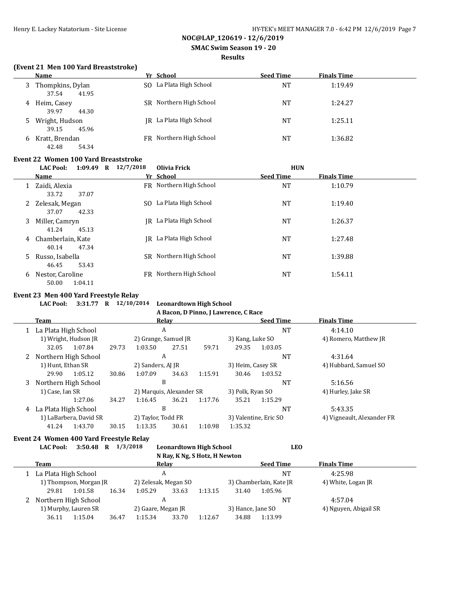**SMAC Swim Season 19 - 20**

#### **Results**

#### **(Event 21 Men 100 Yard Breaststroke)**

|              | Name                               | Yr School               | <b>Seed Time</b> | <b>Finals Time</b> |
|--------------|------------------------------------|-------------------------|------------------|--------------------|
| 3            | Thompkins, Dylan<br>37.54<br>41.95 | SO La Plata High School | NT               | 1:19.49            |
| 4            | Heim, Casey<br>39.97<br>44.30      | SR Northern High School | <b>NT</b>        | 1:24.27            |
|              | 5 Wright, Hudson<br>45.96<br>39.15 | IR La Plata High School | <b>NT</b>        | 1:25.11            |
| <sub>b</sub> | Kratt, Brendan<br>42.48<br>54.34   | FR Northern High School | NT               | 1:36.82            |

#### **Event 22 Women 100 Yard Breaststroke**

|   | $1:09.49$ R<br><b>LAC Pool:</b>                    | 12/7/2018 | Olivia Frick            | <b>HUN</b>       |                    |  |
|---|----------------------------------------------------|-----------|-------------------------|------------------|--------------------|--|
|   | <b>Name</b>                                        |           | Yr School               | <b>Seed Time</b> | <b>Finals Time</b> |  |
| 1 | Zaidi, Alexia                                      | FR        | Northern High School    | <b>NT</b>        | 1:10.79            |  |
| 2 | 33.72<br>37.07<br>Zelesak, Megan<br>37.07<br>42.33 | SO.       | La Plata High School    | <b>NT</b>        | 1:19.40            |  |
| 3 | Miller, Camryn<br>41.24<br>45.13                   | IR        | La Plata High School    | <b>NT</b>        | 1:26.37            |  |
| 4 | Chamberlain, Kate<br>40.14<br>47.34                |           | IR La Plata High School | <b>NT</b>        | 1:27.48            |  |
| 5 | Russo, Isabella<br>53.43<br>46.45                  |           | SR Northern High School | <b>NT</b>        | 1:39.88            |  |
| 6 | Nestor, Caroline<br>50.00<br>1:04.11               | FR.       | Northern High School    | <b>NT</b>        | 1:54.11            |  |

#### **Event 23 Men 400 Yard Freestyle Relay**

 $\overline{a}$ 

**LAC Pool: 3:31.77 R 12/10/2014 Leonardtown High School**

**A Bacon, D Pinno, J Lawrence, C Race**

| Team                 |                        |                    |                          | Relay |                       |                  | <b>Seed Time</b>           | <b>Finals Time</b>    |  |
|----------------------|------------------------|--------------------|--------------------------|-------|-----------------------|------------------|----------------------------|-----------------------|--|
| La Plata High School |                        |                    | A                        |       |                       |                  | <b>NT</b>                  | 4:14.10               |  |
| 1) Wright, Hudson JR |                        |                    | 2) Grange, Samuel JR     |       |                       | 3) Kang, Luke SO |                            | 4) Romero, Matthew JR |  |
| 32.05                | 1:07.84                | 29.73              | 1:03.50                  | 27.51 | 59.71                 | 29.35            | 1:03.05                    |                       |  |
| Northern High School |                        |                    | A                        |       |                       |                  | <b>NT</b>                  | 4:31.64               |  |
| 1) Hunt, Ethan SR    |                        | 2) Sanders, AJ JR  |                          |       | 3) Heim, Casey SR     |                  | 4) Hubbard, Samuel SO      |                       |  |
| 29.90                | 1:05.12                | 30.86              | 1:07.09                  | 34.63 | 1:15.91               | 30.46            | 1:03.52                    |                       |  |
| Northern High School |                        | B                  |                          |       |                       |                  | <b>NT</b>                  | 5:16.56               |  |
| 1) Case, Ian SR      |                        |                    | 2) Marquis, Alexander SR |       |                       | 3) Polk, Ryan SO |                            | 4) Hurley, Jake SR    |  |
|                      | 1:27.06                | 34.27              | 1:16.45                  | 36.21 | 1:17.76               | 35.21            | 1:15.29                    |                       |  |
| La Plata High School |                        | B                  |                          |       |                       | <b>NT</b>        | 5:43.35                    |                       |  |
|                      | 1) LaBarbera, David SR | 2) Taylor, Todd FR |                          |       | 3) Valentine, Eric SO |                  | 4) Vigneault, Alexander FR |                       |  |
| 41.24                | 1:43.70                | 30.15              | 1:13.35                  | 30.61 | 1:10.98               | 1:35.32          |                            |                       |  |

#### **Event 24 Women 400 Yard Freestyle Relay**

**LAC Pool: 3:50.48 R 1/3/2018 Leonardtown High School LEO N Ray, K Ng, S Hotz, H Newton**

|  | $\mathbf{R}$ $\mathbf{R}$ $\mathbf{R}$ $\mathbf{R}$ $\mathbf{R}$ $\mathbf{R}$ $\mathbf{R}$ $\mathbf{R}$ $\mathbf{R}$ $\mathbf{R}$ $\mathbf{R}$ $\mathbf{R}$ $\mathbf{R}$ $\mathbf{R}$ |         |       |                      |       |                  |                         |                    |                       |  |  |  |  |
|--|---------------------------------------------------------------------------------------------------------------------------------------------------------------------------------------|---------|-------|----------------------|-------|------------------|-------------------------|--------------------|-----------------------|--|--|--|--|
|  | <b>Team</b>                                                                                                                                                                           |         | Relav |                      |       | <b>Seed Time</b> |                         | <b>Finals Time</b> |                       |  |  |  |  |
|  | La Plata High School                                                                                                                                                                  |         |       | A                    |       |                  | NT                      |                    | 4:25.98               |  |  |  |  |
|  | 1) Thompson, Morgan JR                                                                                                                                                                |         |       | 2) Zelesak, Megan SO |       |                  | 3) Chamberlain, Kate JR |                    | 4) White, Logan JR    |  |  |  |  |
|  | 29.81                                                                                                                                                                                 | 1:01.58 | 16.34 | 1:05.29              | 33.63 | 1:13.15          | 31.40                   | 1:05.96            |                       |  |  |  |  |
|  | Northern High School<br>1) Murphy, Lauren SR                                                                                                                                          |         |       | А                    |       |                  |                         | NΤ                 | 4:57.04               |  |  |  |  |
|  |                                                                                                                                                                                       |         |       | 2) Gaare, Megan JR   |       |                  | 3) Hance, Jane SO       |                    | 4) Nguyen, Abigail SR |  |  |  |  |
|  | 36.11                                                                                                                                                                                 | 1:15.04 | 36.47 | 1:15.34              | 33.70 | 1:12.67          | 34.88                   | 1:13.99            |                       |  |  |  |  |